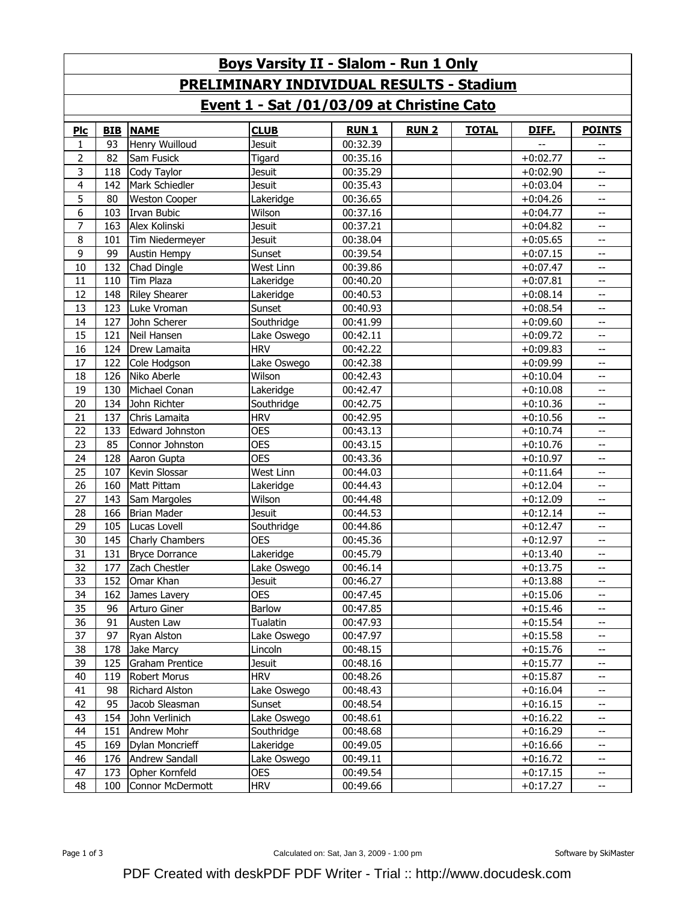| <b>Boys Varsity II - Slalom - Run 1 Only</b>     |            |                        |               |             |              |              |            |                          |  |
|--------------------------------------------------|------------|------------------------|---------------|-------------|--------------|--------------|------------|--------------------------|--|
| <b>PRELIMINARY INDIVIDUAL RESULTS - Stadium</b>  |            |                        |               |             |              |              |            |                          |  |
| <u>Event 1 - Sat /01/03/09 at Christine Cato</u> |            |                        |               |             |              |              |            |                          |  |
| PLC                                              | <b>BIB</b> | <b>NAME</b>            | <b>CLUB</b>   | <b>RUN1</b> | <b>RUN 2</b> | <b>TOTAL</b> | DIFF.      | <b>POINTS</b>            |  |
| 1                                                | 93         | Henry Wuilloud         | Jesuit        | 00:32.39    |              |              |            | $\overline{\phantom{m}}$ |  |
| $\overline{2}$                                   | 82         | Sam Fusick             | Tigard        | 00:35.16    |              |              | $+0:02.77$ | $-$                      |  |
| 3                                                | 118        | Cody Taylor            | Jesuit        | 00:35.29    |              |              | $+0:02.90$ | --                       |  |
| 4                                                | 142        | Mark Schiedler         | <b>Jesuit</b> | 00:35.43    |              |              | $+0:03.04$ | $\overline{\phantom{m}}$ |  |
| 5                                                | 80         | <b>Weston Cooper</b>   | Lakeridge     | 00:36.65    |              |              | $+0:04.26$ | $\overline{\phantom{a}}$ |  |
| 6                                                | 103        | <b>Irvan Bubic</b>     | Wilson        | 00:37.16    |              |              | $+0:04.77$ | $\overline{\phantom{m}}$ |  |
| 7                                                | 163        | Alex Kolinski          | Jesuit        | 00:37.21    |              |              | $+0:04.82$ | --                       |  |
| 8                                                | 101        | Tim Niedermeyer        | Jesuit        | 00:38.04    |              |              | $+0:05.65$ | $-$                      |  |
| 9                                                | 99         | <b>Austin Hempy</b>    | Sunset        | 00:39.54    |              |              | $+0:07.15$ | $\overline{\phantom{m}}$ |  |
| 10                                               | 132        | Chad Dingle            | West Linn     | 00:39.86    |              |              | $+0:07.47$ | $\overline{\phantom{m}}$ |  |
| 11                                               | 110        | <b>Tim Plaza</b>       | Lakeridge     | 00:40.20    |              |              | $+0:07.81$ | $\overline{\phantom{m}}$ |  |
| 12                                               | 148        | <b>Riley Shearer</b>   | Lakeridge     | 00:40.53    |              |              | $+0:08.14$ | --                       |  |
| 13                                               | 123        | Luke Vroman            | Sunset        | 00:40.93    |              |              | $+0:08.54$ | $\overline{\phantom{m}}$ |  |
| 14                                               | 127        | John Scherer           | Southridge    | 00:41.99    |              |              | $+0:09.60$ | $\overline{\phantom{m}}$ |  |
| 15                                               | 121        | Neil Hansen            | Lake Oswego   | 00:42.11    |              |              | $+0:09.72$ | $\overline{\phantom{m}}$ |  |
| 16                                               | 124        | Drew Lamaita           | <b>HRV</b>    | 00:42.22    |              |              | $+0:09.83$ | --                       |  |
| 17                                               | 122        | Cole Hodgson           | Lake Oswego   | 00:42.38    |              |              | $+0:09.99$ | $\overline{\phantom{m}}$ |  |
| 18                                               | 126        | Niko Aberle            | Wilson        | 00:42.43    |              |              | $+0:10.04$ | $\overline{\phantom{m}}$ |  |
| 19                                               | 130        | Michael Conan          | Lakeridge     | 00:42.47    |              |              | $+0:10.08$ | $\overline{\phantom{m}}$ |  |
| 20                                               | 134        | John Richter           | Southridge    | 00:42.75    |              |              | $+0:10.36$ | $\overline{\phantom{m}}$ |  |
| 21                                               | 137        | Chris Lamaita          | <b>HRV</b>    | 00:42.95    |              |              | $+0:10.56$ | $\overline{\phantom{m}}$ |  |
| 22                                               | 133        | <b>Edward Johnston</b> | <b>OES</b>    | 00:43.13    |              |              | $+0:10.74$ | $\overline{\phantom{m}}$ |  |
| 23                                               | 85         | Connor Johnston        | <b>OES</b>    | 00:43.15    |              |              | $+0:10.76$ | $\overline{\phantom{m}}$ |  |
| 24                                               | 128        | Aaron Gupta            | <b>OES</b>    | 00:43.36    |              |              | $+0:10.97$ | $\overline{\phantom{m}}$ |  |
| 25                                               | 107        | Kevin Slossar          | West Linn     | 00:44.03    |              |              | $+0:11.64$ | $\overline{\phantom{m}}$ |  |
| 26                                               | 160        | Matt Pittam            | Lakeridge     | 00:44.43    |              |              | $+0:12.04$ | $\overline{\phantom{m}}$ |  |
| 27                                               | 143        | Sam Margoles           | Wilson        | 00:44.48    |              |              | $+0:12.09$ | $\overline{\phantom{a}}$ |  |
| 28                                               | 166        | <b>Brian Mader</b>     | <b>Jesuit</b> | 00:44.53    |              |              | $+0:12.14$ | $\overline{\phantom{m}}$ |  |
| 29                                               | 105        | Lucas Lovell           | Southridge    | 00:44.86    |              |              | $+0:12.47$ | $\overline{\phantom{m}}$ |  |
| 30                                               | 145        | Charly Chambers        | <b>OES</b>    | 00:45.36    |              |              | $+0:12.97$ | $-$                      |  |
| 31                                               | 131        | <b>Bryce Dorrance</b>  | Lakeridge     | 00:45.79    |              |              | $+0:13.40$ | $-$                      |  |
| 32                                               | 177        | Zach Chestler          | Lake Oswego   | 00:46.14    |              |              | $+0:13.75$ | --                       |  |
| 33                                               | 152        | Omar Khan              | Jesuit        | 00:46.27    |              |              | $+0:13.88$ | $- -$                    |  |
| 34                                               | 162        | James Lavery           | <b>OES</b>    | 00:47.45    |              |              | $+0:15.06$ | $\overline{\phantom{a}}$ |  |
| 35                                               | 96         | Arturo Giner           | Barlow        | 00:47.85    |              |              | $+0:15.46$ | --                       |  |
| 36                                               | 91         | Austen Law             | Tualatin      | 00:47.93    |              |              | $+0:15.54$ | $\overline{\phantom{a}}$ |  |
| 37                                               | 97         | Ryan Alston            | Lake Oswego   | 00:47.97    |              |              | $+0:15.58$ | $\overline{\phantom{a}}$ |  |
| 38                                               | 178        | Jake Marcy             | Lincoln       | 00:48.15    |              |              | $+0:15.76$ | $\overline{\phantom{a}}$ |  |
| 39                                               | 125        | <b>Graham Prentice</b> | Jesuit        | 00:48.16    |              |              | $+0:15.77$ | --                       |  |
| 40                                               | 119        | Robert Morus           | <b>HRV</b>    | 00:48.26    |              |              | $+0:15.87$ | $\overline{\phantom{a}}$ |  |
| 41                                               | 98         | Richard Alston         | Lake Oswego   | 00:48.43    |              |              | $+0.16.04$ | $\overline{\phantom{a}}$ |  |
| 42                                               | 95         | Jacob Sleasman         | Sunset        | 00:48.54    |              |              | $+0:16.15$ | $\overline{\phantom{a}}$ |  |
| 43                                               | 154        | John Verlinich         | Lake Oswego   | 00:48.61    |              |              | $+0:16.22$ | $\overline{\phantom{a}}$ |  |
| 44                                               | 151        | Andrew Mohr            | Southridge    | 00:48.68    |              |              | $+0:16.29$ | $\overline{\phantom{a}}$ |  |
| 45                                               | 169        | Dylan Moncrieff        | Lakeridge     | 00:49.05    |              |              | $+0:16.66$ | $\overline{\phantom{a}}$ |  |
| 46                                               | 176        | Andrew Sandall         | Lake Oswego   | 00:49.11    |              |              | $+0:16.72$ | $\overline{\phantom{a}}$ |  |
| 47                                               | 173        | Opher Kornfeld         | <b>OES</b>    | 00:49.54    |              |              | $+0:17.15$ | $\overline{\phantom{a}}$ |  |
| 48                                               | 100        | Connor McDermott       | <b>HRV</b>    | 00:49.66    |              |              | $+0:17.27$ | $- -$                    |  |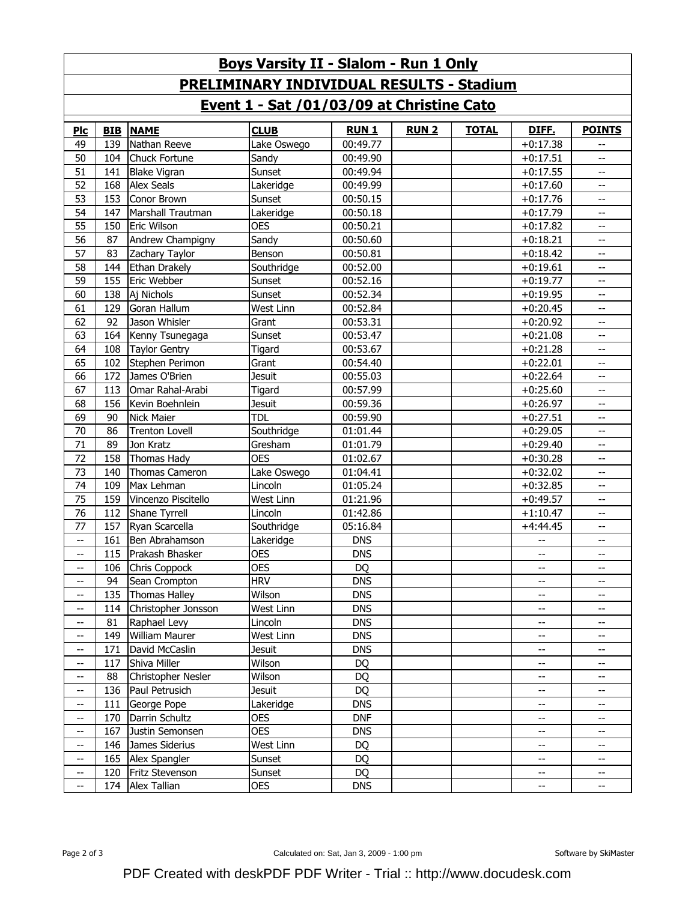| <b>Boys Varsity II - Slalom - Run 1 Only</b>        |            |                       |               |             |              |              |                                                     |                                                     |  |
|-----------------------------------------------------|------------|-----------------------|---------------|-------------|--------------|--------------|-----------------------------------------------------|-----------------------------------------------------|--|
| <b>PRELIMINARY INDIVIDUAL RESULTS - Stadium</b>     |            |                       |               |             |              |              |                                                     |                                                     |  |
| Event 1 - Sat /01/03/09 at Christine Cato           |            |                       |               |             |              |              |                                                     |                                                     |  |
| $P_{\text{IC}}$                                     | <b>BIB</b> | <b>NAME</b>           | <b>CLUB</b>   | <b>RUN1</b> | <b>RUN 2</b> | <b>TOTAL</b> | DIFF.                                               | <b>POINTS</b>                                       |  |
| 49                                                  | 139        | Nathan Reeve          | Lake Oswego   | 00:49.77    |              |              | $+0:17.38$                                          | $\overline{\phantom{a}}$                            |  |
| 50                                                  | 104        | <b>Chuck Fortune</b>  | Sandy         | 00:49.90    |              |              | $+0:17.51$                                          | --                                                  |  |
| 51                                                  | 141        | <b>Blake Vigran</b>   | Sunset        | 00:49.94    |              |              | $+0:17.55$                                          | $-\!$                                               |  |
| 52                                                  | 168        | <b>Alex Seals</b>     | Lakeridge     | 00:49.99    |              |              | $+0:17.60$                                          | $-\!$                                               |  |
| 53                                                  | 153        | Conor Brown           | Sunset        | 00:50.15    |              |              | $+0:17.76$                                          | $-\hbox{--}$                                        |  |
| 54                                                  | 147        | Marshall Trautman     | Lakeridge     | 00:50.18    |              |              | $+0:17.79$                                          | $-\hbox{--}$                                        |  |
| 55                                                  | 150        | Eric Wilson           | <b>OES</b>    | 00:50.21    |              |              | $+0:17.82$                                          | $-\hbox{--}$                                        |  |
| 56                                                  | 87         | Andrew Champigny      | Sandy         | 00:50.60    |              |              | $+0:18.21$                                          | $-\!$                                               |  |
| 57                                                  | 83         | Zachary Taylor        | Benson        | 00:50.81    |              |              | $+0:18.42$                                          | $-\hbox{--}$                                        |  |
| 58                                                  | 144        | Ethan Drakely         | Southridge    | 00:52.00    |              |              | $+0:19.61$                                          | $-\hbox{--}$                                        |  |
| 59                                                  | 155        | Eric Webber           | Sunset        | 00:52.16    |              |              | $+0:19.77$                                          | $- -$                                               |  |
| 60                                                  | 138        | Aj Nichols            | Sunset        | 00:52.34    |              |              | $+0:19.95$                                          | $-\hbox{--}$                                        |  |
| 61                                                  | 129        | Goran Hallum          | West Linn     | 00:52.84    |              |              | $+0:20.45$                                          | $-\!$                                               |  |
| 62                                                  | 92         | Jason Whisler         | Grant         | 00:53.31    |              |              | $+0:20.92$                                          | $-\hbox{--}$                                        |  |
| 63                                                  | 164        | Kenny Tsunegaga       | Sunset        | 00:53.47    |              |              | $+0:21.08$                                          | $-\hbox{--}$                                        |  |
| 64                                                  | 108        | <b>Taylor Gentry</b>  | Tigard        | 00:53.67    |              |              | $+0:21.28$                                          | $-\hbox{--}$                                        |  |
| 65                                                  | 102        | Stephen Perimon       | Grant         | 00:54.40    |              |              | $+0:22.01$                                          | $-\hbox{--}$                                        |  |
| 66                                                  | 172        | James O'Brien         | <b>Jesuit</b> | 00:55.03    |              |              | $+0:22.64$                                          | $-\hbox{--}$                                        |  |
| 67                                                  | 113        | Omar Rahal-Arabi      | Tigard        | 00:57.99    |              |              | $+0:25.60$                                          | $-\hbox{--}$                                        |  |
| 68                                                  | 156        | Kevin Boehnlein       | <b>Jesuit</b> | 00:59.36    |              |              | $+0:26.97$                                          | $-\hbox{--}$                                        |  |
| 69                                                  | 90         | <b>Nick Maier</b>     | <b>TDL</b>    | 00:59.90    |              |              | $+0:27.51$                                          | $-\hbox{--}$                                        |  |
| 70                                                  | 86         | <b>Trenton Lovell</b> | Southridge    | 01:01.44    |              |              | $+0:29.05$                                          | $-\hbox{--}$                                        |  |
| 71                                                  | 89         | Jon Kratz             | Gresham       | 01:01.79    |              |              | $+0:29.40$                                          | $\hspace{0.05cm} -\hspace{0.05cm} -\hspace{0.05cm}$ |  |
| 72                                                  | 158        | Thomas Hady           | <b>OES</b>    | 01:02.67    |              |              | $+0:30.28$                                          | $- -$                                               |  |
| 73                                                  | 140        | Thomas Cameron        | Lake Oswego   | 01:04.41    |              |              | $+0:32.02$                                          | $-\hbox{--}$                                        |  |
| 74                                                  | 109        | Max Lehman            | Lincoln       | 01:05.24    |              |              | $+0:32.85$                                          | $-\hbox{--}$                                        |  |
| 75                                                  | 159        | Vincenzo Piscitello   | West Linn     | 01:21.96    |              |              | $+0:49.57$                                          | $-\hbox{--}$                                        |  |
| 76                                                  | 112        | Shane Tyrrell         | Lincoln       | 01:42.86    |              |              | $+1:10.47$                                          | $-\!$                                               |  |
| 77                                                  | 157        | Ryan Scarcella        | Southridge    | 05:16.84    |              |              | $+4:44.45$                                          | $- -$                                               |  |
| $\overline{\phantom{a}}$                            | 161        | Ben Abrahamson        | Lakeridge     | <b>DNS</b>  |              |              | --                                                  | $- -$                                               |  |
| $-\!$                                               | 115        | Prakash Bhasker       | <b>OES</b>    | <b>DNS</b>  |              |              | $\overline{\phantom{a}}$                            | $\overline{\phantom{m}}$                            |  |
| --                                                  | 106        | <b>Chris Coppock</b>  | <b>OES</b>    | DQ          |              |              | $-\hbox{--}$                                        | --                                                  |  |
| $-\!$                                               | 94         | Sean Crompton         | <b>HRV</b>    | <b>DNS</b>  |              |              | $\hspace{0.05cm} -\hspace{0.05cm} -\hspace{0.05cm}$ | $\hspace{0.05cm} -\hspace{0.05cm} -\hspace{0.05cm}$ |  |
| $-\!$                                               | 135        | Thomas Halley         | Wilson        | <b>DNS</b>  |              |              | --                                                  | $\overline{\phantom{a}}$                            |  |
| $\hspace{0.05cm} \dashv$                            | 114        | Christopher Jonsson   | West Linn     | <b>DNS</b>  |              |              | $\hspace{0.05cm} -\hspace{0.05cm} -\hspace{0.05cm}$ | --                                                  |  |
| --                                                  | 81         | Raphael Levy          | Lincoln       | <b>DNS</b>  |              |              | --                                                  | --                                                  |  |
| --                                                  | 149        | William Maurer        | West Linn     | <b>DNS</b>  |              |              | --                                                  | $\overline{\phantom{a}}$                            |  |
| $-\!$                                               | 171        | David McCaslin        | <b>Jesuit</b> | <b>DNS</b>  |              |              | --                                                  | $\overline{\phantom{m}}$                            |  |
| $\hspace{0.05cm} \dashv$                            | 117        | Shiva Miller          | Wilson        | <b>DQ</b>   |              |              | --                                                  | $\overline{\phantom{m}}$                            |  |
| $\hspace{0.05cm} \dashv$                            | 88         | Christopher Nesler    | Wilson        | DQ          |              |              | $\hspace{0.05cm} -\hspace{0.05cm} -\hspace{0.05cm}$ | --                                                  |  |
| --                                                  | 136        | Paul Petrusich        | <b>Jesuit</b> | <b>DQ</b>   |              |              | --                                                  | --                                                  |  |
| $\hspace{0.05cm} \dashrightarrow$                   | 111        | George Pope           | Lakeridge     | <b>DNS</b>  |              |              | --                                                  | $\overline{\phantom{a}}$                            |  |
| $-\!$                                               | 170        | Darrin Schultz        | <b>OES</b>    | <b>DNF</b>  |              |              | --                                                  | $\overline{\phantom{m}}$                            |  |
| $\hspace{0.05cm} \dashv$                            | 167        | Justin Semonsen       | <b>OES</b>    | <b>DNS</b>  |              |              | --                                                  | $\overline{\phantom{m}}$                            |  |
| $\hspace{0.05cm} -\hspace{0.05cm} -\hspace{0.05cm}$ | 146        | James Siderius        | West Linn     | <b>DQ</b>   |              |              | $\hspace{0.05cm} -\hspace{0.05cm} -\hspace{0.05cm}$ | $\overline{\phantom{m}}$                            |  |
| --                                                  | 165        | Alex Spangler         | Sunset        | DQ          |              |              | --                                                  | $\overline{\phantom{m}}$                            |  |
| $\hspace{0.05cm} \dashrightarrow$                   | 120        | Fritz Stevenson       | Sunset        | DQ          |              |              | --                                                  | $\overline{\phantom{a}}$                            |  |
| $\hspace{0.05cm} \dashv$                            | 174        | Alex Tallian          | <b>OES</b>    | <b>DNS</b>  |              |              | --                                                  | $\overline{\phantom{a}}$                            |  |